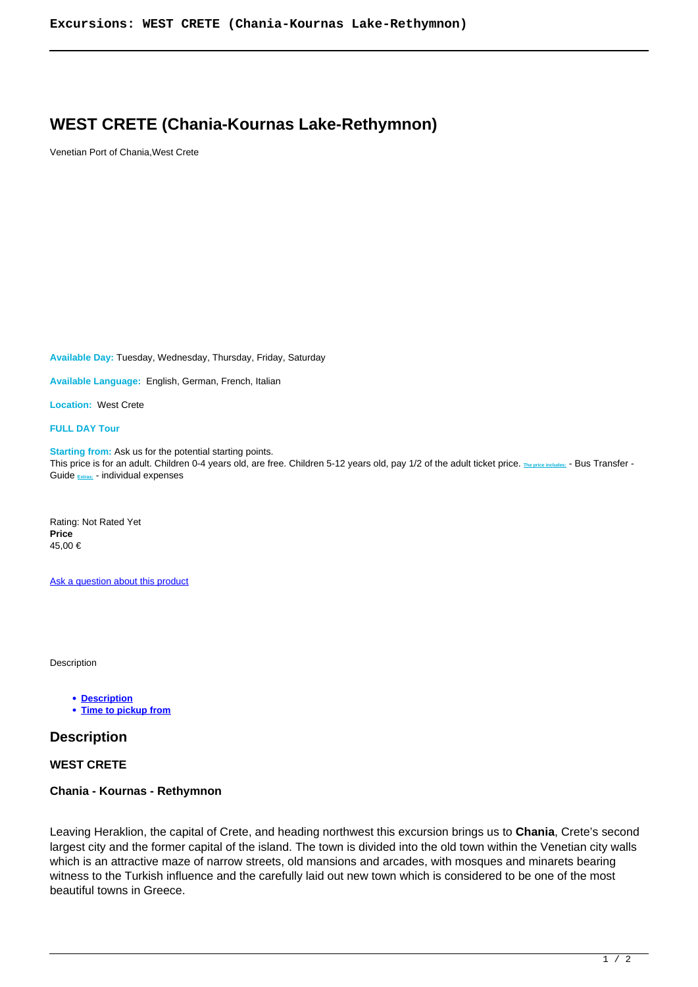## **WEST CRETE (Chania-Kournas Lake-Rethymnon)**

Venetian Port of Chania,West Crete

**Available Day:** Tuesday, Wednesday, Thursday, Friday, Saturday

**Available Language:** English, German, French, Italian

**Location:** West Crete

**FULL DAY Tour**

**Starting from:** Ask us for the potential starting points. This price is for an adult. Children 0-4 years old, are free. Children 5-12 years old, pay 1/2 of the adult ticket price. **The price includes:** - Bus Transfer - Guide **Extras:** - individual expenses

Rating: Not Rated Yet **Price**  45,00 €

Ask a question about this product

Description

**Description**

**Time to pickup from**

## **Description**

**WEST CRETE**

## **Chania - Kournas - Rethymnon**

Leaving Heraklion, the capital of Crete, and heading northwest this excursion brings us to **Chania**, Crete's second largest city and the former capital of the island. The town is divided into the old town within the Venetian city walls which is an attractive maze of narrow streets, old mansions and arcades, with mosques and minarets bearing witness to the Turkish influence and the carefully laid out new town which is considered to be one of the most beautiful towns in Greece.